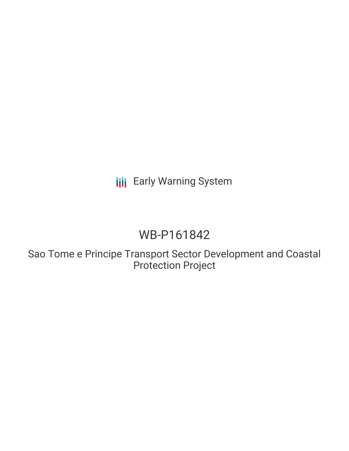**III** Early Warning System

# WB-P161842

Sao Tome e Principe Transport Sector Development and Coastal Protection Project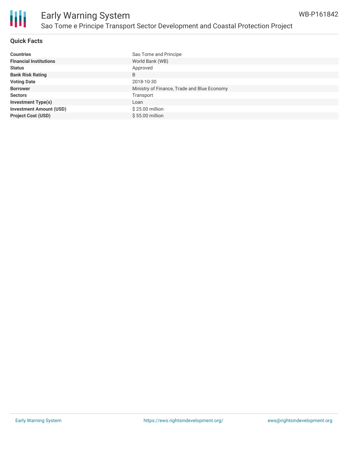

#### **Quick Facts**

| <b>Countries</b>               | Sao Tome and Principe                       |
|--------------------------------|---------------------------------------------|
| <b>Financial Institutions</b>  | World Bank (WB)                             |
| <b>Status</b>                  | Approved                                    |
| <b>Bank Risk Rating</b>        | B                                           |
| <b>Voting Date</b>             | 2018-10-30                                  |
| <b>Borrower</b>                | Ministry of Finance, Trade and Blue Economy |
| <b>Sectors</b>                 | Transport                                   |
| <b>Investment Type(s)</b>      | Loan                                        |
| <b>Investment Amount (USD)</b> | $$25.00$ million                            |
| <b>Project Cost (USD)</b>      | $$55.00$ million                            |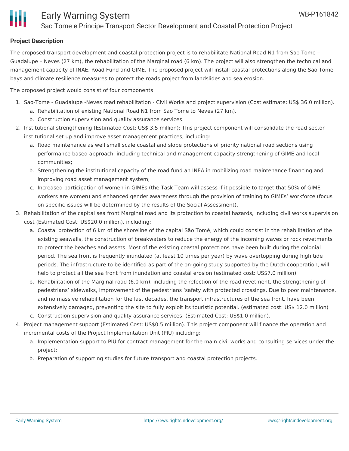## **Project Description**

The proposed transport development and coastal protection project is to rehabilitate National Road N1 from Sao Tome – Guadalupe – Neves (27 km), the rehabilitation of the Marginal road (6 km). The project will also strengthen the technical and management capacity of INAE, Road Fund and GIME. The proposed project will install coastal protections along the Sao Tome bays and climate resilience measures to protect the roads project from landslides and sea erosion.

The proposed project would consist of four components:

- 1. Sao-Tome Guadalupe -Neves road rehabilitation Civil Works and project supervision (Cost estimate: US\$ 36.0 million). a. Rehabilitation of existing National Road N1 from Sao Tome to Neves (27 km).
	- b. Construction supervision and quality assurance services.
- 2. Institutional strengthening (Estimated Cost: US\$ 3.5 million): This project component will consolidate the road sector institutional set up and improve asset management practices, including:
	- a. Road maintenance as well small scale coastal and slope protections of priority national road sections using performance based approach, including technical and management capacity strengthening of GIME and local communities;
	- b. Strengthening the institutional capacity of the road fund an INEA in mobilizing road maintenance financing and improving road asset management system;
	- c. Increased participation of women in GIMEs (the Task Team will assess if it possible to target that 50% of GIME workers are women) and enhanced gender awareness through the provision of training to GIMEs' workforce (focus on specific issues will be determined by the results of the Social Assessment).
- 3. Rehabilitation of the capital sea front Marginal road and its protection to coastal hazards, including civil works supervision cost (Estimated Cost: US\$20.0 million), including:
	- a. Coastal protection of 6 km of the shoreline of the capital São Tomé, which could consist in the rehabilitation of the existing seawalls, the construction of breakwaters to reduce the energy of the incoming waves or rock revetments to protect the beaches and assets. Most of the existing coastal protections have been built during the colonial period. The sea front is frequently inundated (at least 10 times per year) by wave overtopping during high tide periods. The infrastructure to be identified as part of the on-going study supported by the Dutch cooperation, will help to protect all the sea front from inundation and coastal erosion (estimated cost: US\$7.0 million)
	- b. Rehabilitation of the Marginal road (6.0 km), including the refection of the road revetment, the strengthening of pedestrians' sidewalks, improvement of the pedestrians 'safety with protected crossings. Due to poor maintenance, and no massive rehabilitation for the last decades, the transport infrastructures of the sea front, have been extensively damaged, preventing the site to fully exploit its touristic potential. (estimated cost: US\$ 12.0 million)
	- c. Construction supervision and quality assurance services. (Estimated Cost: US\$1.0 million).
- 4. Project management support (Estimated Cost: US\$0.5 million). This project component will finance the operation and incremental costs of the Project Implementation Unit (PIU) including:
	- a. Implementation support to PIU for contract management for the main civil works and consulting services under the project;
	- b. Preparation of supporting studies for future transport and coastal protection projects.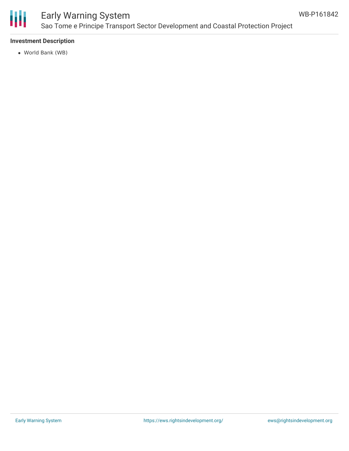

# Early Warning System Sao Tome e Principe Transport Sector Development and Coastal Protection Project

### **Investment Description**

World Bank (WB)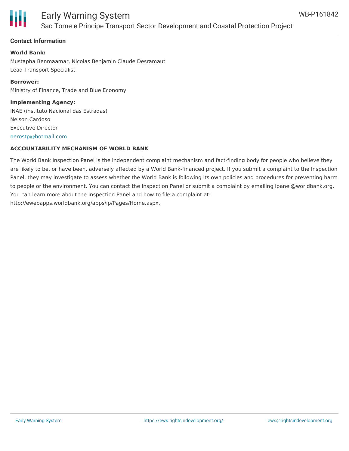

# Early Warning System Sao Tome e Principe Transport Sector Development and Coastal Protection Project

### **Contact Information**

**World Bank:** Mustapha Benmaamar, Nicolas Benjamin Claude Desramaut Lead Transport Specialist

**Borrower:** Ministry of Finance, Trade and Blue Economy

**Implementing Agency:** INAE (instituto Nacional das Estradas) Nelson Cardoso Executive Director [nerostp@hotmail.com](mailto:nerostp@hotmail.com)

### **ACCOUNTABILITY MECHANISM OF WORLD BANK**

The World Bank Inspection Panel is the independent complaint mechanism and fact-finding body for people who believe they are likely to be, or have been, adversely affected by a World Bank-financed project. If you submit a complaint to the Inspection Panel, they may investigate to assess whether the World Bank is following its own policies and procedures for preventing harm to people or the environment. You can contact the Inspection Panel or submit a complaint by emailing ipanel@worldbank.org. You can learn more about the Inspection Panel and how to file a complaint at: http://ewebapps.worldbank.org/apps/ip/Pages/Home.aspx.